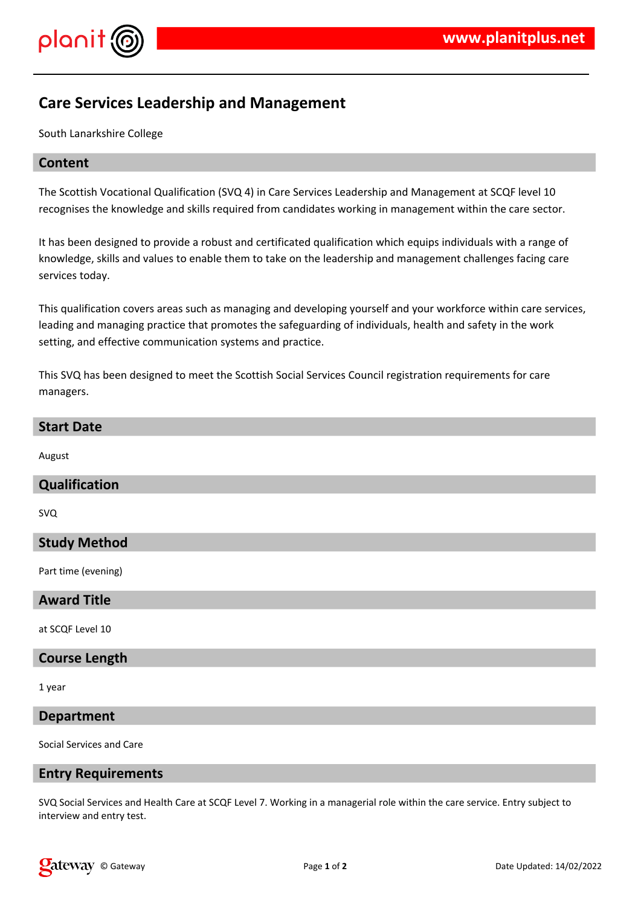

# **Care Services Leadership and Management**

South Lanarkshire College

# **Content**

The Scottish Vocational Qualification (SVQ 4) in Care Services Leadership and Management at SCQF level 10 recognises the knowledge and skills required from candidates working in management within the care sector.

It has been designed to provide a robust and certificated qualification which equips individuals with a range of knowledge, skills and values to enable them to take on the leadership and management challenges facing care services today.

This qualification covers areas such as managing and developing yourself and your workforce within care services, leading and managing practice that promotes the safeguarding of individuals, health and safety in the work setting, and effective communication systems and practice.

This SVQ has been designed to meet the Scottish Social Services Council registration requirements for care managers.

#### **Start Date**

August

## **Qualification**

SVQ

## **Study Method**

Part time (evening)

#### **Award Title**

at SCQF Level 10

## **Course Length**

1 year

## **Department**

Social Services and Care

#### **Entry Requirements**

SVQ Social Services and Health Care at SCQF Level 7. Working in a managerial role within the care service. Entry subject to interview and entry test.